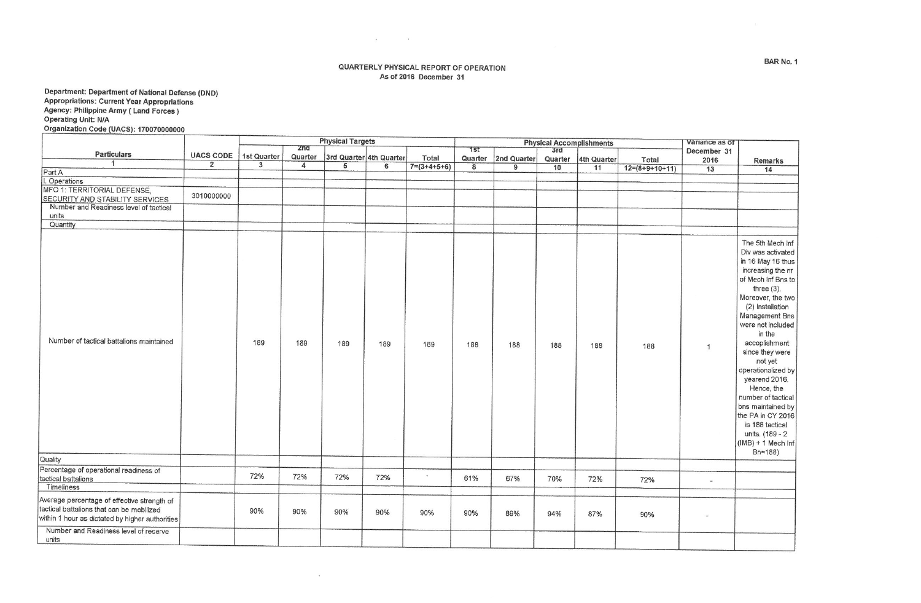## QUARTERLY PHYSICAL REPORT OF OPERATION As of 2016 December 31

 $\mathbf{r}$  , and  $\mathbf{r}$  , and  $\mathbf{r}$ 

Department: Department of National Defense (DND)<br>Appropriations: Current Year Appropriations<br>Agency: Philippine Army ( Land Forces )<br>Operating Unit: N/A Organization Code (UACS): 170070000000

|                                                                                                                                             |                  |             |                 | <b>Physical Targets</b> |     |                       |         | <b>Physical Accomplishments</b> | Variance as of |             |                  |                 |                                                                                                                                                                                                                                                                                                                                                                                                                                                                 |
|---------------------------------------------------------------------------------------------------------------------------------------------|------------------|-------------|-----------------|-------------------------|-----|-----------------------|---------|---------------------------------|----------------|-------------|------------------|-----------------|-----------------------------------------------------------------------------------------------------------------------------------------------------------------------------------------------------------------------------------------------------------------------------------------------------------------------------------------------------------------------------------------------------------------------------------------------------------------|
| <b>Particulars</b>                                                                                                                          |                  |             | 2 <sub>nd</sub> |                         |     |                       | 1st     |                                 | 3rd            |             |                  | December 31     |                                                                                                                                                                                                                                                                                                                                                                                                                                                                 |
| $\overline{1}$                                                                                                                              | <b>UACS CODE</b> | 1st Quarter | Quarter         | 3rd Quarter 4th Quarter |     | Total                 | Quarter | 2nd Quarter                     | Quarter        | 4th Quarter | Total            | 2016            | Remarks                                                                                                                                                                                                                                                                                                                                                                                                                                                         |
| Part A                                                                                                                                      | $\overline{2}$   | 3           | 4               | 5                       | 6   | $7=(3+4+5+6)$         | 8       | 9                               | 10             | 11          | $12=(8+9+10+11)$ | $\overline{13}$ | 14                                                                                                                                                                                                                                                                                                                                                                                                                                                              |
| . Operations                                                                                                                                |                  |             |                 |                         |     |                       |         |                                 |                |             |                  |                 |                                                                                                                                                                                                                                                                                                                                                                                                                                                                 |
| MFO 1: TERRITORIAL DEFENSE,                                                                                                                 |                  |             |                 |                         |     |                       |         |                                 |                |             |                  |                 |                                                                                                                                                                                                                                                                                                                                                                                                                                                                 |
| SECURITY AND STABILITY SERVICES                                                                                                             | 3010000000       |             |                 |                         |     |                       |         |                                 |                |             |                  |                 |                                                                                                                                                                                                                                                                                                                                                                                                                                                                 |
| Number and Readiness level of tactical                                                                                                      |                  |             |                 |                         |     |                       |         |                                 |                |             |                  |                 |                                                                                                                                                                                                                                                                                                                                                                                                                                                                 |
| units                                                                                                                                       |                  |             |                 |                         |     |                       |         |                                 |                |             |                  |                 |                                                                                                                                                                                                                                                                                                                                                                                                                                                                 |
| Quantity                                                                                                                                    |                  |             |                 |                         |     |                       |         |                                 |                |             |                  |                 |                                                                                                                                                                                                                                                                                                                                                                                                                                                                 |
|                                                                                                                                             |                  |             |                 |                         |     |                       |         |                                 |                |             |                  |                 |                                                                                                                                                                                                                                                                                                                                                                                                                                                                 |
| Number of tactical battalions maintained                                                                                                    |                  | 189         | 189             | 189                     | 189 | 189                   | 188     | 188                             | 188            | 188         | 188              | $\mathbf{1}$    | The 5th Mech Inf<br>Div was activated<br>in 16 May 16 thus<br>increasing the nr<br>of Mech Inf Bns to<br>three $(3)$ .<br>Moreover, the two<br>(2) Installation<br>Management Bns<br>were not included<br>in the<br>accoplishment<br>since they were<br>not yet<br>operationalized by<br>yearend 2016.<br>Hence, the<br>number of tactical<br>bns maintained by<br>the PA in CY 2016<br>is 188 tactical<br>units. (189 - 2<br>$(MB) + 1$ Mech Inf<br>$Bn = 188$ |
| Quality                                                                                                                                     |                  |             |                 |                         |     |                       |         |                                 |                |             |                  |                 |                                                                                                                                                                                                                                                                                                                                                                                                                                                                 |
| Percentage of operational readiness of                                                                                                      |                  |             |                 |                         |     |                       |         |                                 |                |             |                  |                 |                                                                                                                                                                                                                                                                                                                                                                                                                                                                 |
| tactical battalions                                                                                                                         |                  | 72%         | 72%             | 72%                     | 72% | $\tilde{\phantom{a}}$ | 61%     | 67%                             | 70%            | 72%         | 72%              | $\sim$          |                                                                                                                                                                                                                                                                                                                                                                                                                                                                 |
| Timeliness                                                                                                                                  |                  |             |                 |                         |     |                       |         |                                 |                |             |                  |                 |                                                                                                                                                                                                                                                                                                                                                                                                                                                                 |
| Average percentage of effective strength of<br>tactical battalions that can be mobilized<br>within 1 hour as dictated by higher authorities |                  | 90%         | 90%             | 90%                     | 90% | 90%                   | 90%     | 89%                             | 94%            | 87%         | 90%              |                 |                                                                                                                                                                                                                                                                                                                                                                                                                                                                 |
| Number and Readiness level of reserve<br>units                                                                                              |                  |             |                 |                         |     |                       |         |                                 |                |             |                  |                 |                                                                                                                                                                                                                                                                                                                                                                                                                                                                 |

 $\sim 10$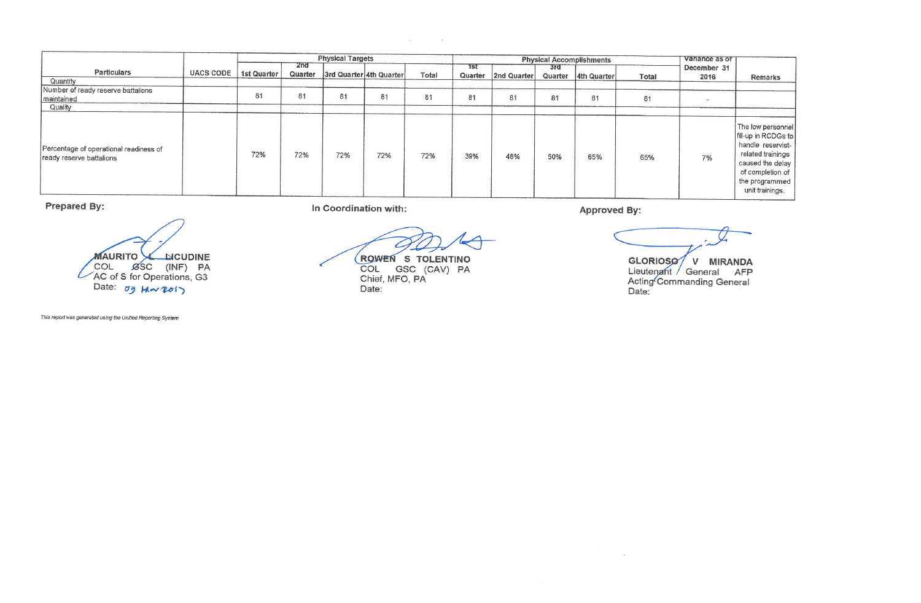|                                                                    |                  |             |                | <b>Physical Targets</b> |                         |       |                | <b>Physical Accomplishments</b> | Variance as of |             |       |                     |                                                                                                                                                                 |
|--------------------------------------------------------------------|------------------|-------------|----------------|-------------------------|-------------------------|-------|----------------|---------------------------------|----------------|-------------|-------|---------------------|-----------------------------------------------------------------------------------------------------------------------------------------------------------------|
| <b>Particulars</b>                                                 | <b>UACS CODE</b> | 1st Quarter | 2nd<br>Quarter |                         | 3rd Quarter 4th Quarter | Total | 1st<br>Quarter | 2nd Quarter                     | 3rd<br>Quarter | 4th Quarter | Total | December 31<br>2016 | Remarks                                                                                                                                                         |
| Quantity                                                           |                  |             |                |                         |                         |       |                |                                 |                |             |       |                     |                                                                                                                                                                 |
| Number of ready reserve battalions<br>Imaintained                  |                  | 81          | 81             | 81                      | 81                      | 81    | 81             | 81                              | 81             | 81          | 81    | $\sim$              |                                                                                                                                                                 |
| Quality                                                            |                  |             |                |                         |                         |       |                |                                 |                |             |       |                     |                                                                                                                                                                 |
| Percentage of operational readiness of<br>ready reserve battalions |                  | 72%         | 72%            | 72%                     | 72%                     | 72%   | 39%            | 48%                             | 50%            | 65%         | 65%   | 7%                  | The low personnel<br>fill-up in RCDGs to<br>handle reservist-<br>related trainings<br>caused the delay<br>of completion of<br>the programmed<br>unit trainings. |

 $\mathbf{z}$  , and  $\mathbf{z}$  , and  $\mathbf{z}$ 

**Prepared By:** 

In Coordination with:

MAURITO<br>COL *G*SC (INF) PA<br>AC of S for Operations, G3 Date:  $\sigma$ g Hav Rol

This report was generated using the Unified Reporting System

**ROWEN S TOLENTINO**<br>COL GSC (CAV) PA<br>Chief, MFO, PA Date:

**Approved By:** 

 $\sim$ 

GLORIOSO V MIRANDA<br>Lieutenant General AFP<br>Acting Commanding General<br>Date: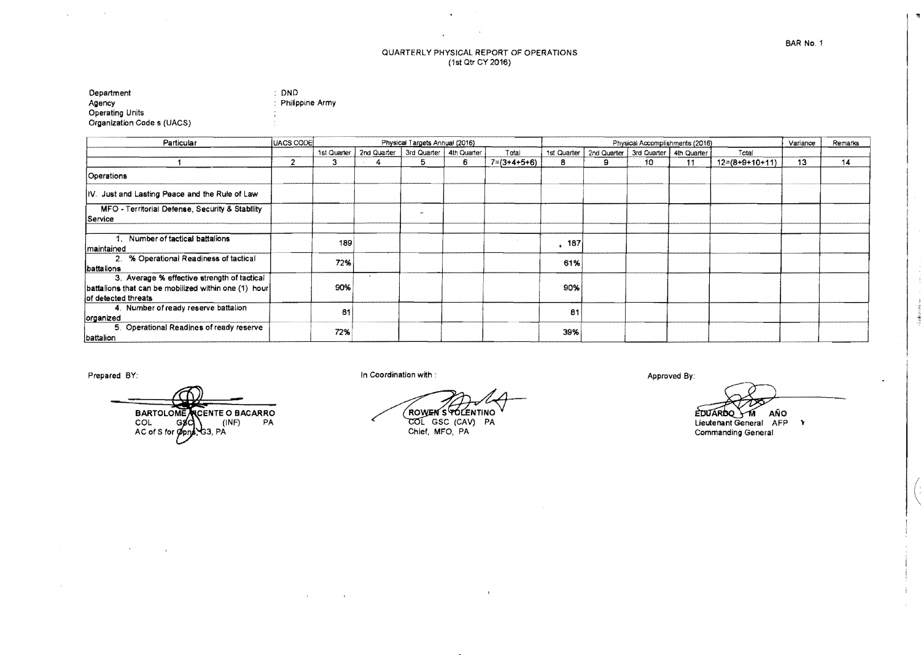## QUARTERLY PHYSICAL REPORT OF OPERATIONS<br>(1st Qtr CY 2016)

 $\sim 100$ 

 $\sim$ 

 $\Delta$ 

| Department                  | : DND             |
|-----------------------------|-------------------|
| Agency                      | : Philippine Army |
| Operating Units             |                   |
| Organization Code s (UACS). | ٠                 |

| Particular                                                                                                                 | <b>JUACS CODE</b> |             | Physical Targets Annual (2016) |                           |    |                       |             |   | Physical Accomplishments (2016) |                                         |                  |    |    |  |
|----------------------------------------------------------------------------------------------------------------------------|-------------------|-------------|--------------------------------|---------------------------|----|-----------------------|-------------|---|---------------------------------|-----------------------------------------|------------------|----|----|--|
|                                                                                                                            |                   | 1st Quarter | 2nd Quarter                    | 3rd Quarter   4th Quarter |    | Total                 | 1st Quarter |   |                                 | 2nd Quarter   3rd Quarter   4th Quarter | Total            |    |    |  |
|                                                                                                                            |                   |             |                                | 5                         | 6. | $7 = (3 + 4 + 5 + 6)$ | 8           | 9 | 10.                             | 11                                      | $12=(8+9+10+11)$ | 13 | 14 |  |
| Operations                                                                                                                 |                   |             |                                |                           |    |                       |             |   |                                 |                                         |                  |    |    |  |
| Just and Lasting Peace and the Rule of Law<br>IIV.                                                                         |                   |             |                                |                           |    |                       |             |   |                                 |                                         |                  |    |    |  |
| MFO - Territorial Defense, Security & Stability<br>Service                                                                 |                   |             |                                | $\sim$                    |    |                       |             |   |                                 |                                         |                  |    |    |  |
| Number of factical battalions<br>maintained                                                                                |                   | 189         |                                |                           |    |                       | .187        |   |                                 |                                         |                  |    |    |  |
| 2. % Operational Readiness of tactical<br>battalions                                                                       |                   | 72%         |                                |                           |    |                       | 61%         |   |                                 |                                         |                  |    |    |  |
| 3. Average % effective strength of tactical<br>battalions that can be mobilized within one (1) hour<br>of detected threats |                   | 90%         |                                |                           |    |                       | 90%         |   |                                 |                                         |                  |    |    |  |
| 4. Number of ready reserve battalion<br>organized                                                                          |                   | 81          |                                |                           |    |                       | 81          |   |                                 |                                         |                  |    |    |  |
| 5. Operational Readines of ready reserve<br>battalion                                                                      |                   | 72%         |                                |                           |    |                       | 39%         |   |                                 |                                         |                  |    |    |  |

Prepared BY:

 $\mathcal{L}^{\text{max}}_{\text{max}}$  and  $\mathcal{L}^{\text{max}}_{\text{max}}$ 

 $\mathcal{A}^{\mathcal{A}}$ 

 $\alpha$  and  $\alpha$  and  $\alpha$  . And

BARTOLOME WEENTED BACARRO<br>COL GSC (INF) PA<br>AC of S for Opps, G3, PA

In Coordination with :

 $\mathcal{L}$ 

 $\sim$   $\alpha$ 

(ROWEN STOLENTINO)<br>COL GSC (CAV) PA<br>Chief, MFO, PA

 $\langle \rangle$ 

Approved By:

EDUARDO M AÑO<br>Lieutenant General AFP Y

 $\lambda$ 

BAR No. 1